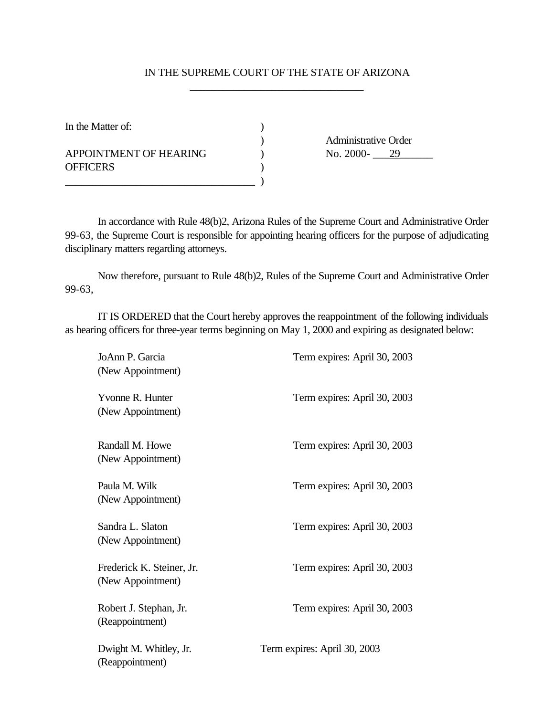## IN THE SUPREME COURT OF THE STATE OF ARIZONA \_\_\_\_\_\_\_\_\_\_\_\_\_\_\_\_\_\_\_\_\_\_\_\_\_\_\_\_\_\_\_\_

In the Matter of:  $\qquad \qquad$  )

APPOINTMENT OF HEARING  $\qquad \qquad$  No. 2000- $\qquad \qquad$  29 OFFICERS )

\_\_\_\_\_\_\_\_\_\_\_\_\_\_\_\_\_\_\_\_\_\_\_\_\_\_\_\_\_\_\_\_\_\_\_ )

) Administrative Order<br>
) No. 2000- $\frac{29}{2}$ 

In accordance with Rule 48(b)2, Arizona Rules of the Supreme Court and Administrative Order 99-63, the Supreme Court is responsible for appointing hearing officers for the purpose of adjudicating disciplinary matters regarding attorneys.

Now therefore, pursuant to Rule 48(b)2, Rules of the Supreme Court and Administrative Order 99-63,

IT IS ORDERED that the Court hereby approves the reappointment of the following individuals as hearing officers for three-year terms beginning on May 1, 2000 and expiring as designated below:

| JoAnn P. Garcia<br>(New Appointment)           | Term expires: April 30, 2003 |
|------------------------------------------------|------------------------------|
| Yvonne R. Hunter<br>(New Appointment)          | Term expires: April 30, 2003 |
| Randall M. Howe<br>(New Appointment)           | Term expires: April 30, 2003 |
| Paula M. Wilk<br>(New Appointment)             | Term expires: April 30, 2003 |
| Sandra L. Slaton<br>(New Appointment)          | Term expires: April 30, 2003 |
| Frederick K. Steiner, Jr.<br>(New Appointment) | Term expires: April 30, 2003 |
| Robert J. Stephan, Jr.<br>(Reappointment)      | Term expires: April 30, 2003 |
| Dwight M. Whitley, Jr.<br>(Reappointment)      | Term expires: April 30, 2003 |